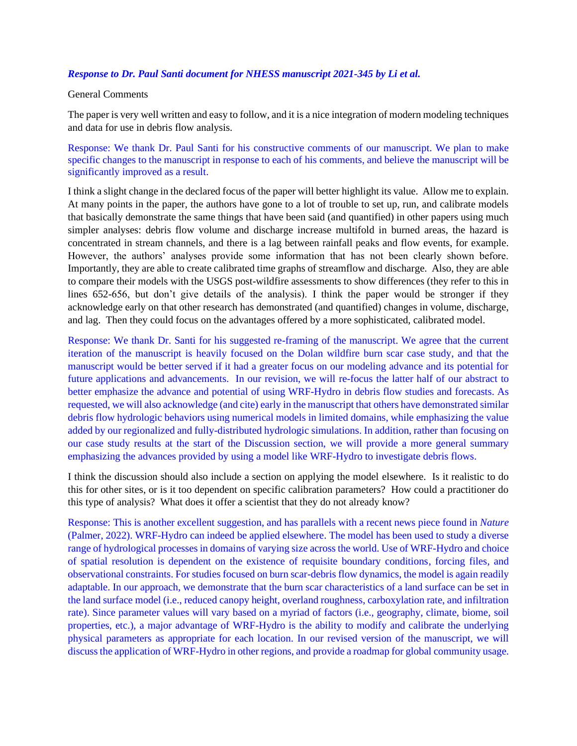## *Response to Dr. Paul Santi document for NHESS manuscript 2021-345 by Li et al.*

## General Comments

The paper is very well written and easy to follow, and it is a nice integration of modern modeling techniques and data for use in debris flow analysis.

Response: We thank Dr. Paul Santi for his constructive comments of our manuscript. We plan to make specific changes to the manuscript in response to each of his comments, and believe the manuscript will be significantly improved as a result.

I think a slight change in the declared focus of the paper will better highlight its value. Allow me to explain. At many points in the paper, the authors have gone to a lot of trouble to set up, run, and calibrate models that basically demonstrate the same things that have been said (and quantified) in other papers using much simpler analyses: debris flow volume and discharge increase multifold in burned areas, the hazard is concentrated in stream channels, and there is a lag between rainfall peaks and flow events, for example. However, the authors' analyses provide some information that has not been clearly shown before. Importantly, they are able to create calibrated time graphs of streamflow and discharge. Also, they are able to compare their models with the USGS post-wildfire assessments to show differences (they refer to this in lines 652-656, but don't give details of the analysis). I think the paper would be stronger if they acknowledge early on that other research has demonstrated (and quantified) changes in volume, discharge, and lag. Then they could focus on the advantages offered by a more sophisticated, calibrated model.

Response: We thank Dr. Santi for his suggested re-framing of the manuscript. We agree that the current iteration of the manuscript is heavily focused on the Dolan wildfire burn scar case study, and that the manuscript would be better served if it had a greater focus on our modeling advance and its potential for future applications and advancements. In our revision, we will re-focus the latter half of our abstract to better emphasize the advance and potential of using WRF-Hydro in debris flow studies and forecasts. As requested, we will also acknowledge (and cite) early in the manuscript that others have demonstrated similar debris flow hydrologic behaviors using numerical models in limited domains, while emphasizing the value added by our regionalized and fully-distributed hydrologic simulations. In addition, rather than focusing on our case study results at the start of the Discussion section, we will provide a more general summary emphasizing the advances provided by using a model like WRF-Hydro to investigate debris flows.

I think the discussion should also include a section on applying the model elsewhere. Is it realistic to do this for other sites, or is it too dependent on specific calibration parameters? How could a practitioner do this type of analysis? What does it offer a scientist that they do not already know?

Response: This is another excellent suggestion, and has parallels with a recent news piece found in *Nature* (Palmer, 2022). WRF-Hydro can indeed be applied elsewhere. The model has been used to study a diverse range of hydrological processes in domains of varying size across the world. Use of WRF-Hydro and choice of spatial resolution is dependent on the existence of requisite boundary conditions, forcing files, and observational constraints. For studies focused on burn scar-debris flow dynamics, the model is again readily adaptable. In our approach, we demonstrate that the burn scar characteristics of a land surface can be set in the land surface model (i.e., reduced canopy height, overland roughness, carboxylation rate, and infiltration rate). Since parameter values will vary based on a myriad of factors (i.e., geography, climate, biome, soil properties, etc.), a major advantage of WRF-Hydro is the ability to modify and calibrate the underlying physical parameters as appropriate for each location. In our revised version of the manuscript, we will discuss the application of WRF-Hydro in other regions, and provide a roadmap for global community usage.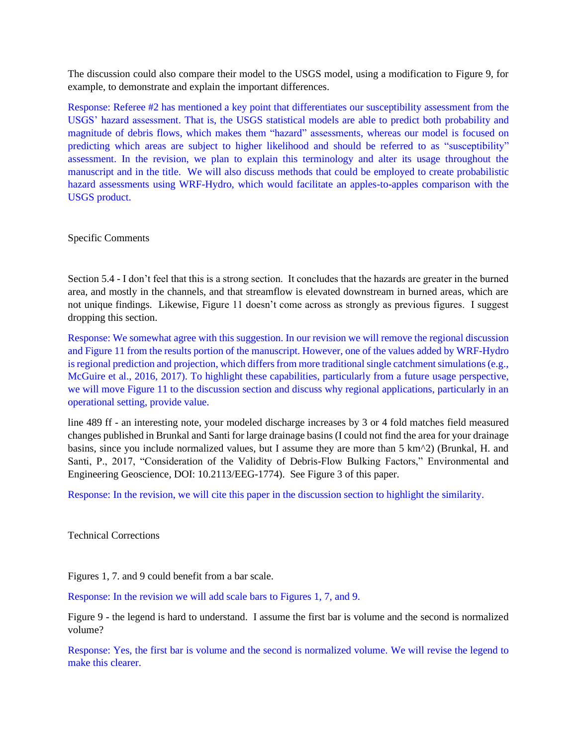The discussion could also compare their model to the USGS model, using a modification to Figure 9, for example, to demonstrate and explain the important differences.

Response: Referee #2 has mentioned a key point that differentiates our susceptibility assessment from the USGS' hazard assessment. That is, the USGS statistical models are able to predict both probability and magnitude of debris flows, which makes them "hazard" assessments, whereas our model is focused on predicting which areas are subject to higher likelihood and should be referred to as "susceptibility" assessment. In the revision, we plan to explain this terminology and alter its usage throughout the manuscript and in the title. We will also discuss methods that could be employed to create probabilistic hazard assessments using WRF-Hydro, which would facilitate an apples-to-apples comparison with the USGS product.

Specific Comments

Section 5.4 - I don't feel that this is a strong section. It concludes that the hazards are greater in the burned area, and mostly in the channels, and that streamflow is elevated downstream in burned areas, which are not unique findings. Likewise, Figure 11 doesn't come across as strongly as previous figures. I suggest dropping this section.

Response: We somewhat agree with this suggestion. In our revision we will remove the regional discussion and Figure 11 from the results portion of the manuscript. However, one of the values added by WRF-Hydro is regional prediction and projection, which differs from more traditional single catchment simulations (e.g., McGuire et al., 2016, 2017). To highlight these capabilities, particularly from a future usage perspective, we will move Figure 11 to the discussion section and discuss why regional applications, particularly in an operational setting, provide value.

line 489 ff - an interesting note, your modeled discharge increases by 3 or 4 fold matches field measured changes published in Brunkal and Santi for large drainage basins (I could not find the area for your drainage basins, since you include normalized values, but I assume they are more than 5 km^2) (Brunkal, H. and Santi, P., 2017, "Consideration of the Validity of Debris-Flow Bulking Factors," Environmental and Engineering Geoscience, DOI: 10.2113/EEG-1774). See Figure 3 of this paper.

Response: In the revision, we will cite this paper in the discussion section to highlight the similarity.

Technical Corrections

Figures 1, 7. and 9 could benefit from a bar scale.

Response: In the revision we will add scale bars to Figures 1, 7, and 9.

Figure 9 - the legend is hard to understand. I assume the first bar is volume and the second is normalized volume?

Response: Yes, the first bar is volume and the second is normalized volume. We will revise the legend to make this clearer.